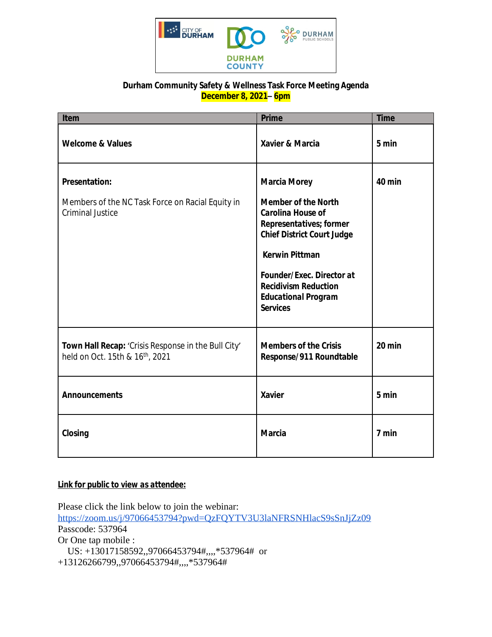

## **Durham Community Safety & Wellness Task Force Meeting Agenda December 8, 2021– 6pm**

| Item                                                                                                | <b>Prime</b>                                                                                                                                                                                                                                                                               | <b>Time</b> |
|-----------------------------------------------------------------------------------------------------|--------------------------------------------------------------------------------------------------------------------------------------------------------------------------------------------------------------------------------------------------------------------------------------------|-------------|
| <b>Welcome &amp; Values</b>                                                                         | Xavier & Marcia                                                                                                                                                                                                                                                                            | 5 min       |
| <b>Presentation:</b><br>Members of the NC Task Force on Racial Equity in<br><b>Criminal Justice</b> | <b>Marcia Morey</b><br><b>Member of the North</b><br><b>Carolina House of</b><br>Representatives; former<br><b>Chief District Court Judge</b><br><b>Kerwin Pittman</b><br><b>Founder/Exec. Director at</b><br><b>Recidivism Reduction</b><br><b>Educational Program</b><br><b>Services</b> | 40 min      |
| Town Hall Recap: 'Crisis Response in the Bull City'<br>held on Oct. 15th & 16th, 2021               | <b>Members of the Crisis</b><br>Response/911 Roundtable                                                                                                                                                                                                                                    | 20 min      |
| <b>Announcements</b>                                                                                | <b>Xavier</b>                                                                                                                                                                                                                                                                              | 5 min       |
| Closing                                                                                             | <b>Marcia</b>                                                                                                                                                                                                                                                                              | 7 min       |

## *Link for public to view as attendee:*

Please click the link below to join the webinar: <https://zoom.us/j/97066453794?pwd=QzFQYTV3U3laNFRSNHlacS9sSnJjZz09> Passcode: 537964 Or One tap mobile : US: +13017158592,,97066453794#,,,,\*537964# or +13126266799,,97066453794#,,,,\*537964#